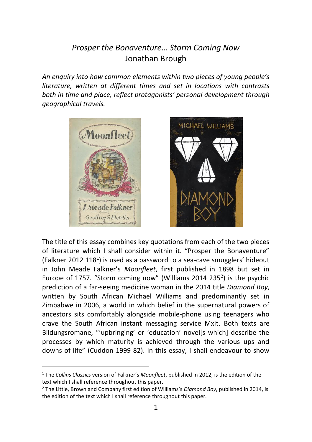## *Prosper the Bonaventure… Storm Coming Now* Jonathan Brough

*An enquiry into how common elements within two pieces of young people's literature, written at different times and set in locations with contrasts both in time and place, reflect protagonists' personal development through geographical travels.*



-



The title of this essay combines key quotations from each of the two pieces of literature which I shall consider within it. "Prosper the Bonaventure" (Falkner 2012  $118<sup>1</sup>$ ) is used as a password to a sea-cave smugglers' hideout in John Meade Falkner's *Moonfleet*, first published in 1898 but set in Europe of 1757. "Storm coming now" (Williams 2014 235 $2$ ) is the psychic prediction of a far-seeing medicine woman in the 2014 title *Diamond Boy*, written by South African Michael Williams and predominantly set in Zimbabwe in 2006, a world in which belief in the supernatural powers of ancestors sits comfortably alongside mobile-phone using teenagers who crave the South African instant messaging service Mxit. Both texts are Bildungsromane, "'upbringing' or 'education' novel[s which] describe the processes by which maturity is achieved through the various ups and downs of life" (Cuddon 1999 82). In this essay, I shall endeavour to show

<sup>1</sup> The *Collins Classics* version of Falkner's *Moonfleet*, published in 2012, is the edition of the text which I shall reference throughout this paper.

<sup>2</sup> The Little, Brown and Company first edition of Williams's *Diamond Boy*, published in 2014, is the edition of the text which I shall reference throughout this paper.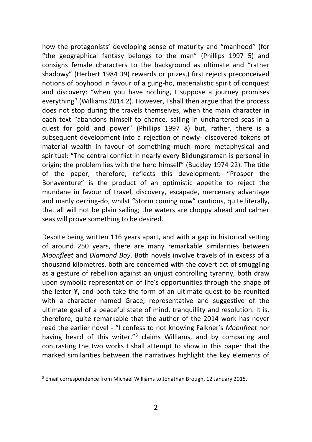how the protagonists' developing sense of maturity and "manhood" (for "the geographical fantasy belongs to the man" (Phillips 1997 5) and consigns female characters to the background as ultimate and "rather shadowy" (Herbert 1984 39) rewards or prizes,) first rejects preconceived notions of boyhood in favour of a gung-ho, materialistic spirit of conquest and discovery: "when you have nothing, I suppose a journey promises everything" (Williams 2014 2). However, I shall then argue that the process does not stop during the travels themselves, when the main character in each text "abandons himself to chance, sailing in unchartered seas in a quest for gold and power" (Phillips 1997 8) but, rather, there is a subsequent development into a rejection of newly- discovered tokens of material wealth in favour of something much more metaphysical and spiritual: "The central conflict in nearly every Bildungsroman is personal in origin; the problem lies with the hero himself" (Buckley 1974 22). The title of the paper, therefore, reflects this development: "Prosper the Bonaventure" is the product of an optimistic appetite to reject the mundane in favour of travel, discovery, escapade, mercenary advantage and manly derring-do, whilst "Storm coming now" cautions, quite literally, that all will not be plain sailing; the waters are choppy ahead and calmer seas will prove something to be desired.

Despite being written 116 years apart, and with a gap in historical setting of around 250 years, there are many remarkable similarities between *Moonfleet* and *Diamond Boy*. Both novels involve travels of in excess of a thousand kilometres, both are concerned with the covert act of smuggling as a gesture of rebellion against an unjust controlling tyranny, both draw upon symbolic representation of life's opportunities through the shape of the letter **Y,** and both take the form of an ultimate quest to be reunited with a character named Grace, representative and suggestive of the ultimate goal of a peaceful state of mind, tranquillity and resolution. It is, therefore, quite remarkable that the author of the 2014 work has never read the earlier novel - "I confess to not knowing Falkner's *Moonfleet* nor having heard of this writer."<sup>3</sup> claims Williams, and by comparing and contrasting the two works I shall attempt to show in this paper that the marked similarities between the narratives highlight the key elements of

-

<sup>3</sup> Email correspondence from Michael Williams to Jonathan Brough, 12 January 2015.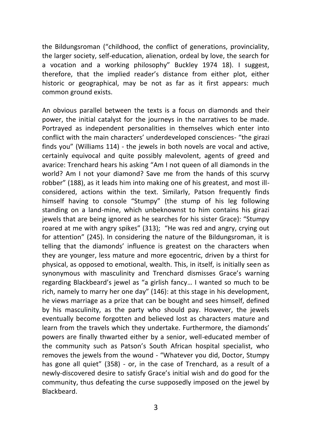the Bildungsroman ("childhood, the conflict of generations, provinciality, the larger society, self-education, alienation, ordeal by love, the search for a vocation and a working philosophy" Buckley 1974 18). I suggest, therefore, that the implied reader's distance from either plot, either historic or geographical, may be not as far as it first appears: much common ground exists.

An obvious parallel between the texts is a focus on diamonds and their power, the initial catalyst for the journeys in the narratives to be made. Portrayed as independent personalities in themselves which enter into conflict with the main characters' underdeveloped consciences- "the girazi finds you" (Williams 114) - the jewels in both novels are vocal and active, certainly equivocal and quite possibly malevolent, agents of greed and avarice: Trenchard hears his asking "Am I not queen of all diamonds in the world? Am I not your diamond? Save me from the hands of this scurvy robber" (188), as it leads him into making one of his greatest, and most illconsidered, actions within the text. Similarly, Patson frequently finds himself having to console "Stumpy" (the stump of his leg following standing on a land-mine, which unbeknownst to him contains his girazi jewels that are being ignored as he searches for his sister Grace): "Stumpy roared at me with angry spikes" (313); "He was red and angry, crying out for attention" (245). In considering the nature of the Bildungsroman, it is telling that the diamonds' influence is greatest on the characters when they are younger, less mature and more egocentric, driven by a thirst for physical, as opposed to emotional, wealth. This, in itself, is initially seen as synonymous with masculinity and Trenchard dismisses Grace's warning regarding Blackbeard's jewel as "a girlish fancy… I wanted so much to be rich, namely to marry her one day" (146): at this stage in his development, he views marriage as a prize that can be bought and sees himself, defined by his masculinity, as the party who should pay. However, the jewels eventually become forgotten and believed lost as characters mature and learn from the travels which they undertake. Furthermore, the diamonds' powers are finally thwarted either by a senior, well-educated member of the community such as Patson's South African hospital specialist, who removes the jewels from the wound - "Whatever you did, Doctor, Stumpy has gone all quiet" (358) - or, in the case of Trenchard, as a result of a newly-discovered desire to satisfy Grace's initial wish and do good for the community, thus defeating the curse supposedly imposed on the jewel by Blackbeard.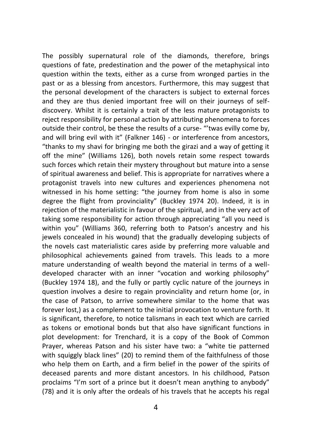The possibly supernatural role of the diamonds, therefore, brings questions of fate, predestination and the power of the metaphysical into question within the texts, either as a curse from wronged parties in the past or as a blessing from ancestors. Furthermore, this may suggest that the personal development of the characters is subject to external forces and they are thus denied important free will on their journeys of selfdiscovery. Whilst it is certainly a trait of the less mature protagonists to reject responsibility for personal action by attributing phenomena to forces outside their control, be these the results of a curse- "'twas evilly come by, and will bring evil with it" (Falkner 146) - or interference from ancestors, "thanks to my shavi for bringing me both the girazi and a way of getting it off the mine" (Williams 126), both novels retain some respect towards such forces which retain their mystery throughout but mature into a sense of spiritual awareness and belief. This is appropriate for narratives where a protagonist travels into new cultures and experiences phenomena not witnessed in his home setting: "the journey from home is also in some degree the flight from provinciality" (Buckley 1974 20). Indeed, it is in rejection of the materialistic in favour of the spiritual, and in the very act of taking some responsibility for action through appreciating "all you need is within you" (Williams 360, referring both to Patson's ancestry and his jewels concealed in his wound) that the gradually developing subjects of the novels cast materialistic cares aside by preferring more valuable and philosophical achievements gained from travels. This leads to a more mature understanding of wealth beyond the material in terms of a welldeveloped character with an inner "vocation and working philosophy" (Buckley 1974 18), and the fully or partly cyclic nature of the journeys in question involves a desire to regain provinciality and return home (or, in the case of Patson, to arrive somewhere similar to the home that was forever lost,) as a complement to the initial provocation to venture forth. It is significant, therefore, to notice talismans in each text which are carried as tokens or emotional bonds but that also have significant functions in plot development: for Trenchard, it is a copy of the Book of Common Prayer, whereas Patson and his sister have two: a "white tie patterned with squiggly black lines" (20) to remind them of the faithfulness of those who help them on Earth, and a firm belief in the power of the spirits of deceased parents and more distant ancestors. In his childhood, Patson proclaims "I'm sort of a prince but it doesn't mean anything to anybody" (78) and it is only after the ordeals of his travels that he accepts his regal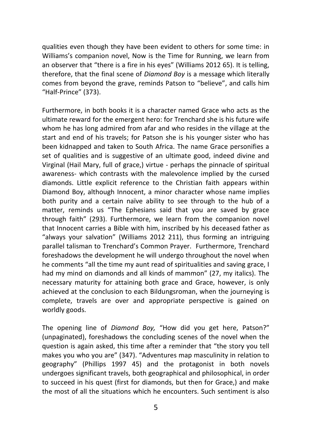qualities even though they have been evident to others for some time: in Williams's companion novel, Now is the Time for Running, we learn from an observer that "there is a fire in his eyes" (Williams 2012 65). It is telling, therefore, that the final scene of *Diamond Boy* is a message which literally comes from beyond the grave, reminds Patson to "believe", and calls him "Half-Prince" (373).

Furthermore, in both books it is a character named Grace who acts as the ultimate reward for the emergent hero: for Trenchard she is his future wife whom he has long admired from afar and who resides in the village at the start and end of his travels; for Patson she is his younger sister who has been kidnapped and taken to South Africa. The name Grace personifies a set of qualities and is suggestive of an ultimate good, indeed divine and Virginal (Hail Mary, full of grace,) virtue - perhaps the pinnacle of spiritual awareness- which contrasts with the malevolence implied by the cursed diamonds. Little explicit reference to the Christian faith appears within Diamond Boy, although Innocent, a minor character whose name implies both purity and a certain naïve ability to see through to the hub of a matter, reminds us "The Ephesians said that you are saved by grace through faith" (293). Furthermore, we learn from the companion novel that Innocent carries a Bible with him, inscribed by his deceased father as "always your salvation" (Williams 2012 211), thus forming an intriguing parallel talisman to Trenchard's Common Prayer. Furthermore, Trenchard foreshadows the development he will undergo throughout the novel when he comments "all the time my aunt read of spiritualities and saving grace, I had my mind on diamonds and all kinds of mammon" (27, my italics). The necessary maturity for attaining both grace and Grace, however, is only achieved at the conclusion to each Bildungsroman, when the journeying is complete, travels are over and appropriate perspective is gained on worldly goods.

The opening line of *Diamond Boy,* "How did you get here, Patson?" (unpaginated), foreshadows the concluding scenes of the novel when the question is again asked, this time after a reminder that "the story you tell makes you who you are" (347). "Adventures map masculinity in relation to geography" (Phillips 1997 45) and the protagonist in both novels undergoes significant travels, both geographical and philosophical, in order to succeed in his quest (first for diamonds, but then for Grace,) and make the most of all the situations which he encounters. Such sentiment is also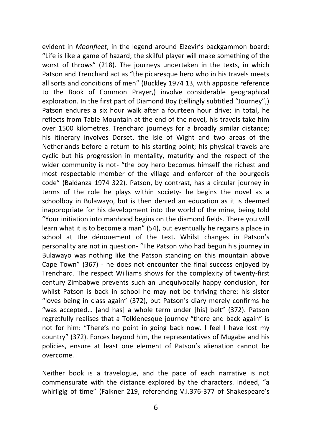evident in *Moonfleet*, in the legend around Elzevir's backgammon board: "Life is like a game of hazard; the skilful player will make something of the worst of throws" (218). The journeys undertaken in the texts, in which Patson and Trenchard act as "the picaresque hero who in his travels meets all sorts and conditions of men" (Buckley 1974 13, with apposite reference to the Book of Common Prayer,) involve considerable geographical exploration. In the first part of Diamond Boy (tellingly subtitled "Journey",) Patson endures a six hour walk after a fourteen hour drive; in total, he reflects from Table Mountain at the end of the novel, his travels take him over 1500 kilometres. Trenchard journeys for a broadly similar distance; his itinerary involves Dorset, the Isle of Wight and two areas of the Netherlands before a return to his starting-point; his physical travels are cyclic but his progression in mentality, maturity and the respect of the wider community is not- "the boy hero becomes himself the richest and most respectable member of the village and enforcer of the bourgeois code" (Baldanza 1974 322). Patson, by contrast, has a circular journey in terms of the role he plays within society- he begins the novel as a schoolboy in Bulawayo, but is then denied an education as it is deemed inappropriate for his development into the world of the mine, being told "Your initiation into manhood begins on the diamond fields. There you will learn what it is to become a man" (54), but eventually he regains a place in school at the dénouement of the text. Whilst changes in Patson's personality are not in question- "The Patson who had begun his journey in Bulawayo was nothing like the Patson standing on this mountain above Cape Town" (367) - he does not encounter the final success enjoyed by Trenchard. The respect Williams shows for the complexity of twenty-first century Zimbabwe prevents such an unequivocally happy conclusion, for whilst Patson is back in school he may not be thriving there: his sister "loves being in class again" (372), but Patson's diary merely confirms he "was accepted… [and has] a whole term under [his] belt" (372). Patson regretfully realises that a Tolkienesque journey "there and back again" is not for him: "There's no point in going back now. I feel I have lost my country" (372). Forces beyond him, the representatives of Mugabe and his policies, ensure at least one element of Patson's alienation cannot be overcome.

Neither book is a travelogue, and the pace of each narrative is not commensurate with the distance explored by the characters. Indeed, "a whirligig of time" (Falkner 219, referencing V.i.376-377 of Shakespeare's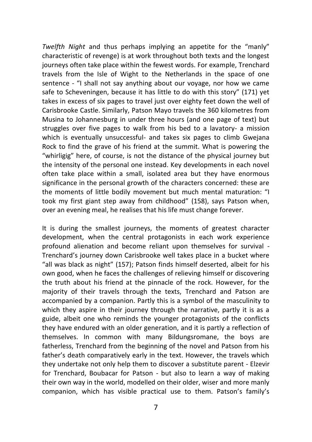*Twelfth Night* and thus perhaps implying an appetite for the "manly" characteristic of revenge) is at work throughout both texts and the longest journeys often take place within the fewest words. For example, Trenchard travels from the Isle of Wight to the Netherlands in the space of one sentence - "I shall not say anything about our voyage, nor how we came safe to Scheveningen, because it has little to do with this story" (171) yet takes in excess of six pages to travel just over eighty feet down the well of Carisbrooke Castle. Similarly, Patson Mayo travels the 360 kilometres from Musina to Johannesburg in under three hours (and one page of text) but struggles over five pages to walk from his bed to a lavatory- a mission which is eventually unsuccessful- and takes six pages to climb Gwejana Rock to find the grave of his friend at the summit. What is powering the "whirligig" here, of course, is not the distance of the physical journey but the intensity of the personal one instead. Key developments in each novel often take place within a small, isolated area but they have enormous significance in the personal growth of the characters concerned: these are the moments of little bodily movement but much mental maturation: "I took my first giant step away from childhood" (158), says Patson when, over an evening meal, he realises that his life must change forever.

It is during the smallest journeys, the moments of greatest character development, when the central protagonists in each work experience profound alienation and become reliant upon themselves for survival - Trenchard's journey down Carisbrooke well takes place in a bucket where "all was black as night" (157); Patson finds himself deserted, albeit for his own good, when he faces the challenges of relieving himself or discovering the truth about his friend at the pinnacle of the rock. However, for the majority of their travels through the texts, Trenchard and Patson are accompanied by a companion. Partly this is a symbol of the masculinity to which they aspire in their journey through the narrative, partly it is as a guide, albeit one who reminds the younger protagonists of the conflicts they have endured with an older generation, and it is partly a reflection of themselves. In common with many Bildungsromane, the boys are fatherless, Trenchard from the beginning of the novel and Patson from his father's death comparatively early in the text. However, the travels which they undertake not only help them to discover a substitute parent - Elzevir for Trenchard, Boubacar for Patson - but also to learn a way of making their own way in the world, modelled on their older, wiser and more manly companion, which has visible practical use to them. Patson's family's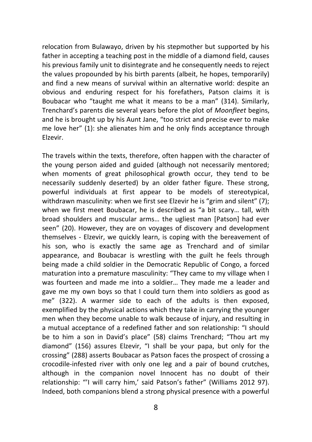relocation from Bulawayo, driven by his stepmother but supported by his father in accepting a teaching post in the middle of a diamond field, causes his previous family unit to disintegrate and he consequently needs to reject the values propounded by his birth parents (albeit, he hopes, temporarily) and find a new means of survival within an alternative world: despite an obvious and enduring respect for his forefathers, Patson claims it is Boubacar who "taught me what it means to be a man" (314). Similarly, Trenchard's parents die several years before the plot of *Moonfleet* begins, and he is brought up by his Aunt Jane, "too strict and precise ever to make me love her" (1): she alienates him and he only finds acceptance through Elzevir.

The travels within the texts, therefore, often happen with the character of the young person aided and guided (although not necessarily mentored; when moments of great philosophical growth occur, they tend to be necessarily suddenly deserted) by an older father figure. These strong, powerful individuals at first appear to be models of stereotypical, withdrawn masculinity: when we first see Elzevir he is "grim and silent" (7): when we first meet Boubacar, he is described as "a bit scary… tall, with broad shoulders and muscular arms… the ugliest man [Patson] had ever seen" (20). However, they are on voyages of discovery and development themselves - Elzevir, we quickly learn, is coping with the bereavement of his son, who is exactly the same age as Trenchard and of similar appearance, and Boubacar is wrestling with the guilt he feels through being made a child soldier in the Democratic Republic of Congo, a forced maturation into a premature masculinity: "They came to my village when I was fourteen and made me into a soldier… They made me a leader and gave me my own boys so that I could turn them into soldiers as good as me" (322). A warmer side to each of the adults is then exposed, exemplified by the physical actions which they take in carrying the younger men when they become unable to walk because of injury, and resulting in a mutual acceptance of a redefined father and son relationship: "I should be to him a son in David's place" (58) claims Trenchard; "Thou art my diamond" (156) assures Elzevir, "I shall be your papa, but only for the crossing" (288) asserts Boubacar as Patson faces the prospect of crossing a crocodile-infested river with only one leg and a pair of bound crutches, although in the companion novel Innocent has no doubt of their relationship: "'I will carry him,' said Patson's father" (Williams 2012 97). Indeed, both companions blend a strong physical presence with a powerful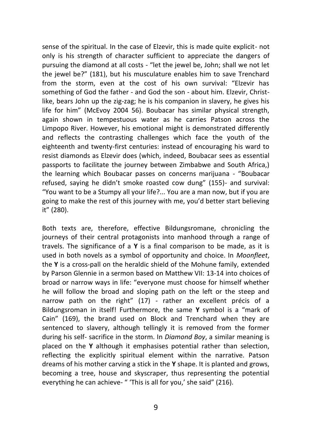sense of the spiritual. In the case of Elzevir, this is made quite explicit- not only is his strength of character sufficient to appreciate the dangers of pursuing the diamond at all costs - "let the jewel be, John; shall we not let the jewel be?" (181), but his musculature enables him to save Trenchard from the storm, even at the cost of his own survival: "Elzevir has something of God the father - and God the son - about him. Elzevir, Christlike, bears John up the zig-zag; he is his companion in slavery, he gives his life for him" (McEvoy 2004 56). Boubacar has similar physical strength, again shown in tempestuous water as he carries Patson across the Limpopo River. However, his emotional might is demonstrated differently and reflects the contrasting challenges which face the youth of the eighteenth and twenty-first centuries: instead of encouraging his ward to resist diamonds as Elzevir does (which, indeed, Boubacar sees as essential passports to facilitate the journey between Zimbabwe and South Africa,) the learning which Boubacar passes on concerns marijuana - "Boubacar refused, saying he didn't smoke roasted cow dung" (155)- and survival: "You want to be a Stumpy all your life?... You are a man now, but if you are going to make the rest of this journey with me, you'd better start believing it" (280).

Both texts are, therefore, effective Bildungsromane, chronicling the journeys of their central protagonists into manhood through a range of travels. The significance of a **Y** is a final comparison to be made, as it is used in both novels as a symbol of opportunity and choice. In *Moonfleet*, the **Y** is a cross-pall on the heraldic shield of the Mohune family, extended by Parson Glennie in a sermon based on Matthew VII: 13-14 into choices of broad or narrow ways in life: "everyone must choose for himself whether he will follow the broad and sloping path on the left or the steep and narrow path on the right" (17) - rather an excellent précis of a Bildungsroman in itself! Furthermore, the same **Y** symbol is a "mark of Cain" (169), the brand used on Block and Trenchard when they are sentenced to slavery, although tellingly it is removed from the former during his self- sacrifice in the storm. In *Diamond Boy*, a similar meaning is placed on the **Y** although it emphasises potential rather than selection, reflecting the explicitly spiritual element within the narrative. Patson dreams of his mother carving a stick in the **Y** shape. It is planted and grows, becoming a tree, house and skyscraper, thus representing the potential everything he can achieve- " 'This is all for you,' she said" (216).